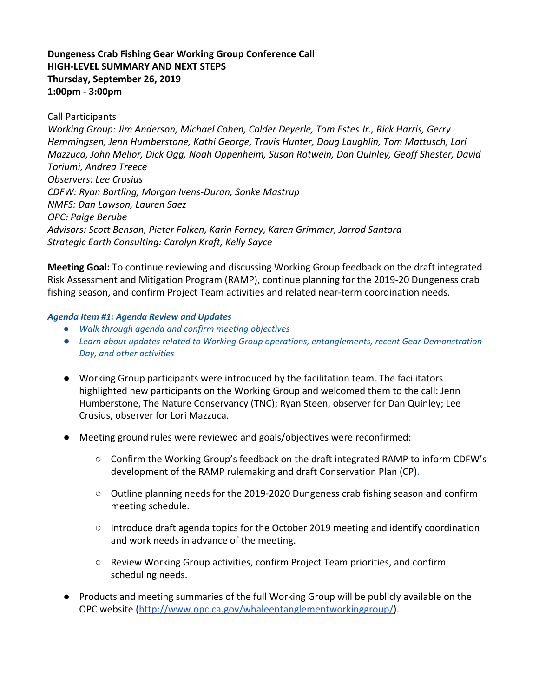# **Dungeness Crab Fishing Gear Working Group Conference Call HIGH-LEVEL SUMMARY AND NEXT STEPS Thursday, September 26, 2019 1:00pm - 3:00pm**

Call Participants

*Working Group: Jim Anderson, Michael Cohen, Calder Deyerle, Tom Estes Jr., Rick Harris, Gerry Hemmingsen, Jenn Humberstone, Kathi George, Travis Hunter, Doug Laughlin, Tom Mattusch, Lori Mazzuca, John Mellor, Dick Ogg, Noah Oppenheim, Susan Rotwein, Dan Quinley, Geoff Shester, David Toriumi, Andrea Treece Observers: Lee Crusius CDFW: Ryan Bartling, Morgan Ivens-Duran, Sonke Mastrup NMFS: Dan Lawson, Lauren Saez OPC: Paige Berube Advisors: Scott Benson, Pieter Folken, Karin Forney, Karen Grimmer, Jarrod Santora Strategic Earth Consulting: Carolyn Kraft, Kelly Sayce*

**Meeting Goal:** To continue reviewing and discussing Working Group feedback on the draft integrated Risk Assessment and Mitigation Program (RAMP), continue planning for the 2019-20 Dungeness crab fishing season, and confirm Project Team activities and related near-term coordination needs.

#### *Agenda Item #1: Agenda Review and Updates*

- *● Walk through agenda and confirm meeting objectives*
- *● Learn about updates related to Working Group operations, entanglements, recent Gear Demonstration Day, and other activities*
- Working Group participants were introduced by the facilitation team. The facilitators highlighted new participants on the Working Group and welcomed them to the call: Jenn Humberstone, The Nature Conservancy (TNC); Ryan Steen, observer for Dan Quinley; Lee Crusius, observer for Lori Mazzuca.
- Meeting ground rules were reviewed and goals/objectives were reconfirmed:
	- Confirm the Working Group's feedback on the draft integrated RAMP to inform CDFW's development of the RAMP rulemaking and draft Conservation Plan (CP).
	- Outline planning needs for the 2019-2020 Dungeness crab fishing season and confirm meeting schedule.
	- $\circ$  Introduce draft agenda topics for the October 2019 meeting and identify coordination and work needs in advance of the meeting.
	- Review Working Group activities, confirm Project Team priorities, and confirm scheduling needs.
- Products and meeting summaries of the full Working Group will be publicly available on the OPC website ([http://www.opc.ca.gov/whaleentanglementworkinggroup/](http://www.opc.ca.gov/whale%C2%ADentanglement%C2%ADworking%C2%ADgroup/%E2%80%8B)).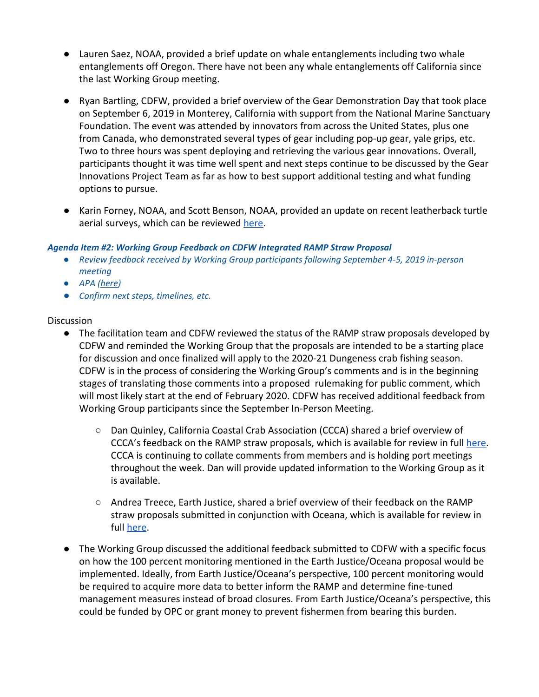- Lauren Saez, NOAA, provided a brief update on whale entanglements including two whale entanglements off Oregon. There have not been any whale entanglements off California since the last Working Group meeting.
- Ryan Bartling, CDFW, provided a brief overview of the Gear Demonstration Day that took place on September 6, 2019 in Monterey, California with support from the National Marine Sanctuary Foundation. The event was attended by innovators from across the United States, plus one from Canada, who demonstrated several types of gear including pop-up gear, yale grips, etc. Two to three hours was spent deploying and retrieving the various gear innovations. Overall, participants thought it was time well spent and next steps continue to be discussed by the Gear Innovations Project Team as far as how to best support additional testing and what funding options to pursue.
- Karin Forney, NOAA, and Scott Benson, NOAA, provided an update on recent leatherback turtle aerial surveys, which can be reviewed [here](https://drive.google.com/file/d/0B6-V3xUQO_iveWVnaXNCd0NqYk4zUTVMVmpIOHFabGJTWXF3/view?usp=sharing).

#### *Agenda Item #2: Working Group Feedback on CDFW Integrated RAMP Straw Proposal*

- *● Review feedback received by Working Group participants following September 4-5, 2019 in-person meeting*
- *● APA [\(here](https://drive.google.com/file/d/1qMfcM88ThcRaB25s4kOAEIPEoJ6kM2mY/view?usp=sharing))*
- *● Confirm next steps, timelines, etc.*

#### **Discussion**

- The facilitation team and CDFW reviewed the status of the RAMP straw proposals developed by CDFW and reminded the Working Group that the proposals are intended to be a starting place for discussion and once finalized will apply to the 2020-21 Dungeness crab fishing season. CDFW is in the process of considering the Working Group's comments and is in the beginning stages of translating those comments into a proposed rulemaking for public comment, which will most likely start at the end of February 2020. CDFW has received additional feedback from Working Group participants since the September In-Person Meeting.
	- Dan Quinley, California Coastal Crab Association (CCCA) shared a brief overview of CCCA's feedback on the RAMP straw proposals, which is available for review in full [here.](https://drive.google.com/file/d/0B6-V3xUQO_ivTGZ2VWZWc2JUX3JHMU1CUkc4d2pvWE1TMERF/view?usp=sharing) CCCA is continuing to collate comments from members and is holding port meetings throughout the week. Dan will provide updated information to the Working Group as it is available.
	- Andrea Treece, Earth Justice, shared a brief overview of their feedback on the RAMP straw proposals submitted in conjunction with Oceana, which is available for review in full [here](https://docs.google.com/document/d/1Q7HQ8rUU81IDCc2hocYYclWRGGxbQQQw4xCgCv4dWsQ/edit?usp=sharing).
- The Working Group discussed the additional feedback submitted to CDFW with a specific focus on how the 100 percent monitoring mentioned in the Earth Justice/Oceana proposal would be implemented. Ideally, from Earth Justice/Oceana's perspective, 100 percent monitoring would be required to acquire more data to better inform the RAMP and determine fine-tuned management measures instead of broad closures. From Earth Justice/Oceana's perspective, this could be funded by OPC or grant money to prevent fishermen from bearing this burden.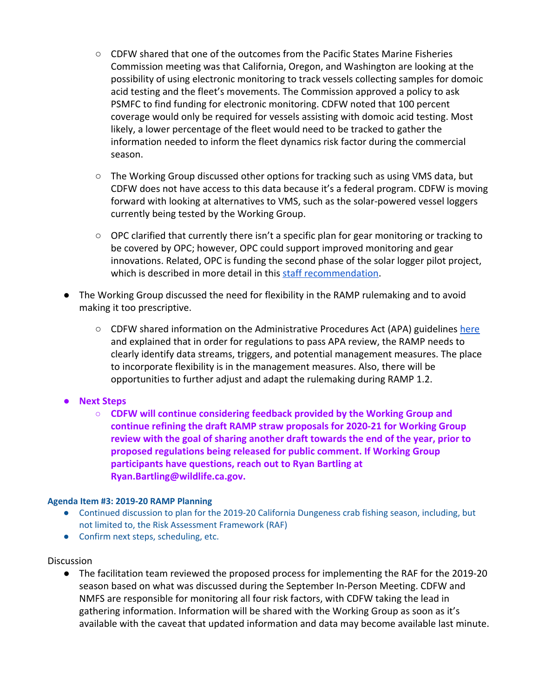- CDFW shared that one of the outcomes from the Pacific States Marine Fisheries Commission meeting was that California, Oregon, and Washington are looking at the possibility of using electronic monitoring to track vessels collecting samples for domoic acid testing and the fleet's movements. The Commission approved a policy to ask PSMFC to find funding for electronic monitoring. CDFW noted that 100 percent coverage would only be required for vessels assisting with domoic acid testing. Most likely, a lower percentage of the fleet would need to be tracked to gather the information needed to inform the fleet dynamics risk factor during the commercial season.
- $\circ$  The Working Group discussed other options for tracking such as using VMS data, but CDFW does not have access to this data because it's a federal program. CDFW is moving forward with looking at alternatives to VMS, such as the solar-powered vessel loggers currently being tested by the Working Group.
- OPC clarified that currently there isn't a specific plan for gear monitoring or tracking to be covered by OPC; however, OPC could support improved monitoring and gear innovations. Related, OPC is funding the second phase of the solar logger pilot project, which is described in more detail in this [staff recommendation](http://www.opc.ca.gov/webmaster/ftp/pdf/agenda_items/20181025/Item6b1_SolarLogger-Pilot-Project-Staff-Rec-Final.pdf).
- The Working Group discussed the need for flexibility in the RAMP rulemaking and to avoid making it too prescriptive.
	- $\circ$  CDFW shared information on the Administrative Procedures Act (APA) guidelines [here](https://drive.google.com/file/d/1qMfcM88ThcRaB25s4kOAEIPEoJ6kM2mY/view?usp=sharing) and explained that in order for regulations to pass APA review, the RAMP needs to clearly identify data streams, triggers, and potential management measures. The place to incorporate flexibility is in the management measures. Also, there will be opportunities to further adjust and adapt the rulemaking during RAMP 1.2.

## **● Next Steps**

**○ CDFW will continue considering feedback provided by the Working Group and continue refining the draft RAMP straw proposals for 2020-21 for Working Group review with the goal of sharing another draft towards the end of the year, prior to proposed regulations being released for public comment. If Working Group participants have questions, reach out to Ryan Bartling at Ryan.Bartling@wildlife.ca.gov.**

## **Agenda Item #3: 2019-20 RAMP Planning**

- Continued discussion to plan for the 2019-20 California Dungeness crab fishing season, including, but not limited to, the Risk Assessment Framework (RAF)
- Confirm next steps, scheduling, etc.

## **Discussion**

● The facilitation team reviewed the proposed process for implementing the RAF for the 2019-20 season based on what was discussed during the September In-Person Meeting. CDFW and NMFS are responsible for monitoring all four risk factors, with CDFW taking the lead in gathering information. Information will be shared with the Working Group as soon as it's available with the caveat that updated information and data may become available last minute.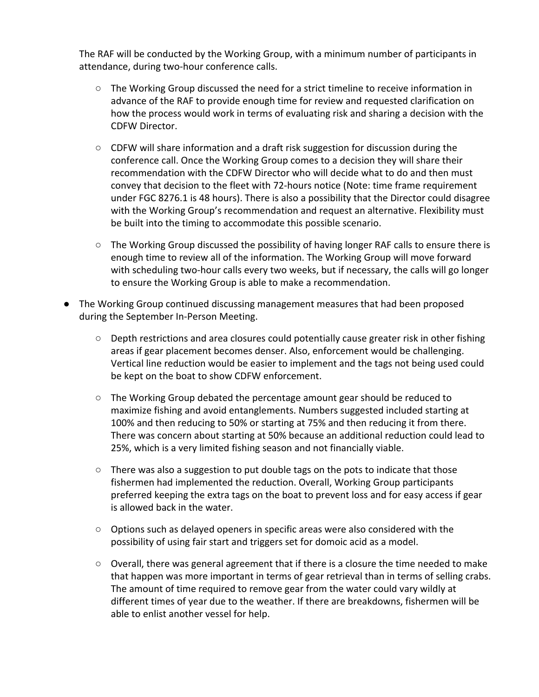The RAF will be conducted by the Working Group, with a minimum number of participants in attendance, during two-hour conference calls.

- The Working Group discussed the need for a strict timeline to receive information in advance of the RAF to provide enough time for review and requested clarification on how the process would work in terms of evaluating risk and sharing a decision with the CDFW Director.
- $\circ$  CDFW will share information and a draft risk suggestion for discussion during the conference call. Once the Working Group comes to a decision they will share their recommendation with the CDFW Director who will decide what to do and then must convey that decision to the fleet with 72-hours notice (Note: time frame requirement under FGC 8276.1 is 48 hours). There is also a possibility that the Director could disagree with the Working Group's recommendation and request an alternative. Flexibility must be built into the timing to accommodate this possible scenario.
- $\circ$  The Working Group discussed the possibility of having longer RAF calls to ensure there is enough time to review all of the information. The Working Group will move forward with scheduling two-hour calls every two weeks, but if necessary, the calls will go longer to ensure the Working Group is able to make a recommendation.
- The Working Group continued discussing management measures that had been proposed during the September In-Person Meeting.
	- Depth restrictions and area closures could potentially cause greater risk in other fishing areas if gear placement becomes denser. Also, enforcement would be challenging. Vertical line reduction would be easier to implement and the tags not being used could be kept on the boat to show CDFW enforcement.
	- $\circ$  The Working Group debated the percentage amount gear should be reduced to maximize fishing and avoid entanglements. Numbers suggested included starting at 100% and then reducing to 50% or starting at 75% and then reducing it from there. There was concern about starting at 50% because an additional reduction could lead to 25%, which is a very limited fishing season and not financially viable.
	- $\circ$  There was also a suggestion to put double tags on the pots to indicate that those fishermen had implemented the reduction. Overall, Working Group participants preferred keeping the extra tags on the boat to prevent loss and for easy access if gear is allowed back in the water.
	- Options such as delayed openers in specific areas were also considered with the possibility of using fair start and triggers set for domoic acid as a model.
	- $\circ$  Overall, there was general agreement that if there is a closure the time needed to make that happen was more important in terms of gear retrieval than in terms of selling crabs. The amount of time required to remove gear from the water could vary wildly at different times of year due to the weather. If there are breakdowns, fishermen will be able to enlist another vessel for help.